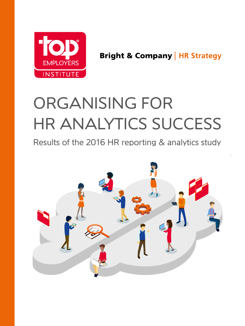

**Bright & Company | HR Strategy** 

# ORGANISING FOR HR ANALYTICS SUCCESS

Results of the 2016 HR reporting & analytics study

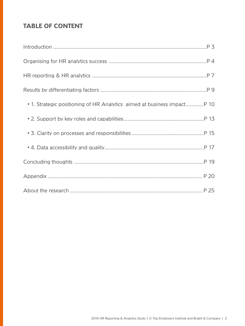## **TABLE OF CONTENT**

| • 1. Strategic positioning of HR Analytics aimed at business impact P 10 |
|--------------------------------------------------------------------------|
|                                                                          |
|                                                                          |
|                                                                          |
|                                                                          |
|                                                                          |
|                                                                          |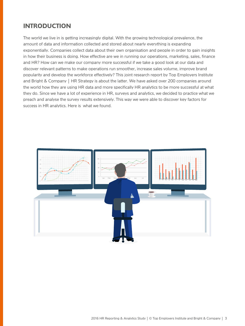## **INTRODUCTION**

The world we live in is getting increasingly digital. With the growing technological prevalence, the amount of data and information collected and stored about nearly everything is expanding exponentially. Companies collect data about their own organisation and people in order to gain insights in how their business is doing. How effective are we in running our operations, marketing, sales, finance and HR? How can we make our company more successful if we take a good look at our data and discover relevant patterns to make operations run smoother, increase sales volume, improve brand popularity and develop the workforce effectively? This joint research report by Top Employers Institute and Bright & Company | HR Strategy is about the latter. We have asked over 200 companies around the world how they are using HR data and more specifically HR analytics to be more successful at what they do. Since we have a lot of experience in HR, surveys and analytics, we decided to practice what we preach and analyse the survey results extensively. This way we were able to discover key factors for success in HR analytics. Here is what we found.

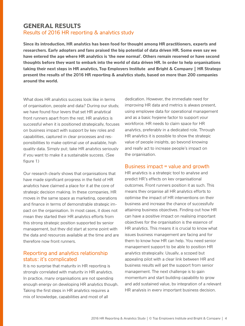### **GENERAL RESULTS** Results of 2016 HR reporting & analytics study

**Since its introduction, HR analytics has been food for thought among HR practitioners, experts and researchers. Early adopters and fans praised the big potential of data driven HR. Some even say we have entered the age where HR analytics is 'the new normal'. Others remain reserved or have second thoughts before they want to embark into the world of data driven HR. In order to help organisations taking their next steps in HR analytics, Top Employers Institute and Bright & Company | HR Strategy present the results of the 2016 HR reporting & analytics study, based on more than 200 companies around the world.**

What does HR analytics success look like in terms of organisation, people and data? During our study, we have found four levers that set HR analytical front runners apart from the rest. HR analytics is successful when it is positioned strategically, focuses on business impact with support by key roles and capabilities, captured in clear processes and responsibilities to make optimal use of available, high quality data. Simply put; take HR analytics seriously if you want to make it a sustainable success. (See figure 1)

Our research clearly shows that organisations that have made significant progress in the field of HR analytics have claimed a place for it at the core of strategic decision making. In these companies, HR moves in the same space as marketing, operations and finance in terms of demonstrable strategic impact on the organisation. In most cases, it does not mean they started their HR analytics efforts from this strong strategic position supported by senior management, but they did start at some point with the data and resources available at the time and are therefore now front runners.

#### Reporting and analytics relationship status: it's complicated

It is no surprise that maturity in HR reporting is strongly correlated with maturity in HR analytics. In practice, many organisations are not spending enough energy on developing HR analytics though. Taking the first steps in HR analytics requires a mix of knowledge, capabilities and most of all

dedication. However, the immediate need for improving HR data and metrics is always present, using employee data for operational management and as a basic hygiene factor to support your workforce. HR needs to claim space for HR analytics, preferably in a dedicated role. Through HR analytics it is possible to show the strategic value of people insights, go beyond knowing and really act to increase people's impact on the organisation.

#### Business impact = value and growth

HR analytics is a strategic tool to analyse and predict HR's effects on key organisational outcomes. Front runners position it as such. This means they organise all HR analytics efforts to optimise the impact of HR interventions on their business and increase the chance of successfully attaining business objectives. Finding out how HR can have a positive impact on realising important objectives for the organisation is the essence of HR analytics. This means it is crucial to know what issues business management are facing and for them to know how HR can help. You need senior management support to be able to position HR analytics strategically. Usually, a scoped but appealing pilot with a clear link between HR and business results will get the support from senior management. The next challenge is to gain momentum and start building capability to grow and add sustained value, by integration of a relevant HR analysis in every important business decision.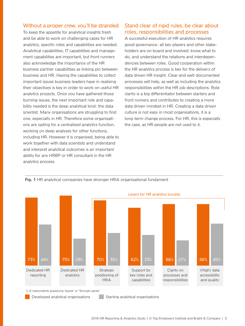#### Without a proper crew, you'll be stranded

To keep the appetite for analytical insights fresh and be able to work on challenging cases for HR analytics, specific roles and capabilities are needed. Analytical capabilities, IT capabilities and management capabilities are important, but front runners also acknowledge the importance of the HR business partner capabilities as linking pin between business and HR. Having the capabilities to collect important issues business leaders have in realising their objectives is key in order to work on useful HR analytics projects. Once you have gathered those burning issues, the next important role and capability needed is the deep analytical kind: the data scientist. Many organisations are struggling to find one, especially in HR. Therefore some organisations are opting for a centralised analytics function, working on deep analyses for other functions, including HR. However it is organised, being able to work together with data scientists and understand and interpret analytical outcomes is an important ability for any HRBP or HR consultant in the HR analytics process.

#### Stand clear of rigid rules, be clear about roles, responsibilities and processes

A successful execution of HR analytics requires good governance: all key players and other stakeholders are on board and involved, know what to do, and understand the relations and interdependencies between roles. Good cooperation within the HR analytics process is key for the delivery of data driven HR insight. Clear and well-documented processes will help, as well as including the analytics responsibilities within the HR job descriptions. Role clarity is a big differentiator between starters and front runners and contributes to creating a more data driven mindset in HR. Creating a data driven culture is not easy in most organisations, it is a long-term change process. For HR, this is especially the case, as HR people are not used to it.

#### **Fig. 1** HR analytical companies have stronger HRA organisational fundament



% of respondents answering 'Agree' or 'Strongly agree'

- 
- Developed analytical organisations **Starting analytical organisations**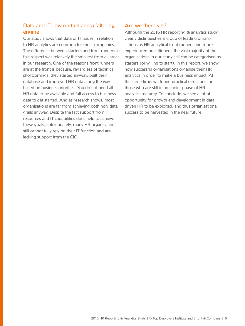#### Data and IT: low on fuel and a faltering engine

Our study shows that data or IT issues in relation to HR analytics are common for most companies. The difference between starters and front runners in this respect was relatively the smallest from all areas in our research. One of the reasons front runners are at the front is because, regardless of technical shortcomings, they started anyway, built their database and improved HR data along the way based on business priorities. You do not need all HR data to be available and full access to business data to get started. And as research shows, most organisations are far from achieving both holy data grails anyway. Despite the fact support from IT resources and IT capabilities does help to achieve these goals, unfortunately, many HR organisations still cannot fully rely on their IT function and are lacking support from the CIO.

#### Are we there yet?

Although the 2016 HR reporting & analytics study clearly distinguishes a group of leading organisations as HR analytical front runners and more experienced practitioners, the vast majority of the organisations in our study still can be categorised as starters (or willing to start). In this report, we show how successful organisations organise their HR analytics in order to make a business impact. At the same time, we found practical directions for those who are still in an earlier phase of HR analytics maturity. To conclude, we see a lot of opportunity for growth and development in data driven HR to be exploited, and thus organisational success to be harvested in the near future.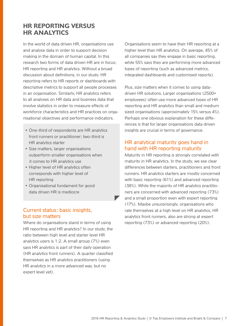## **HR REPORTING VERSUS HR ANALYTICS**

In the world of data driven HR, organisations use and analyse data in order to support decision making in the domain of human capital. In this research two forms of data driven HR are in focus; HR reporting and HR analytics. Without a broad discussion about definitions, in our study, HR reporting refers to HR reports or dashboards with descriptive metrics to support all people processes in an organisation. Similarly, HR analytics refers to all analyses on HR data and business data that involve statistics in order to measure effects of workforce characteristics and HR practices on organisational objectives and performance indicators.

- One-third of respondents are HR analytics front runners or practitioner; two-third is HR analytics starter
- Size matters, larger organisations outperform smaller organisations when it comes to HR analytics use
- Higher level of HR analytics often corresponds with higher level of HR reporting
- Organisational fundament for good data driven HR is mediocre

### Current status: basic insights, but size matters

Where do organisations stand in terms of using HR reporting and HR analytics? In our study, the ratio between high level and starter level HR analytics users is 1:2. A small group (7%) even says HR analytics is part of their daily operation (HR analytics front runners). A quarter classified themselves as HR analytics practitioners (using HR analytics in a more advanced way, but no expert level yet).

Organisations seem to have their HR reporting at a higher level than HR analytics. On average, 45% of all companies say they engage in basic reporting, while 55% says they are performing more advanced types of reporting (such as advanced metrics, integrated dashboards and customised reports).

Plus, size matters when it comes to using datadriven HR solutions. Larger organisations (2500+ employees) often use more advanced types of HR reporting and HR analytics than small and medium sized organisations (approximately 15% versus 4%). Perhaps one obvious explanation for these differences is that for larger organisations data driven insights are crucial in terms of governance.

#### HR analytical maturity goes hand in hand with HR reporting maturity

Maturity in HR reporting is strongly correlated with maturity in HR analytics. In the study, we see clear differences between starters, practitioners and front runners. HR analytics starters are mostly concerned with basic reporting (61%) and advanced reporting (38%). While the majority of HR analytics practitioners are concerned with advanced reporting (73%) and a small proportion even with expert reporting (17%). Maybe unsurprisingly, organisations who rate themselves at a high level on HR analytics, HR analytics front runners, also are strong at expert reporting (73%) or advanced reporting (20%).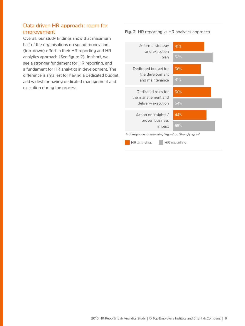#### Data driven HR approach: room for improvement

Overall, our study findings show that maximum half of the organisations do spend money and (top-down) effort in their HR reporting and HR analytics approach (See figure 2). In short, we see a stronger fundament for HR reporting, and a fundament for HR analytics in development. The difference is smallest for having a dedicated budget, and widest for having dedicated management and execution during the process.

**Fig. 2** HR reporting vs HR analytics approach

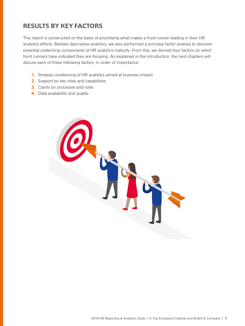## **RESULTS BY KEY FACTORS**

This report is constructed on the basis of prioritising what makes a front runner leading in their HR analytics efforts. Besides descriptive analytics, we also performed a principal factor analysis to discover potential underlying components of HR analytics maturity. From this, we derived four factors on which front runners have indicated they are focusing. As explained in the introduction, the next chapters will discuss each of these following factors, in order of importance:

- **1.** Strategic positioning of HR analytics aimed at business impact
- **2.** Support by key roles and capabilities
- **3.** Clarity on processes and roles
- **4.** Data availability and quality

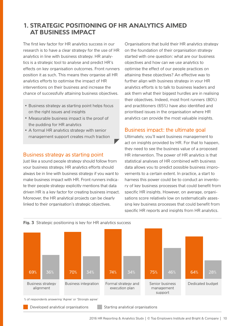## **1. STRATEGIC POSITIONING OF HR ANALYTICS AIMED AT BUSINESS IMPACT**

The first key factor for HR analytics success in our research is to have a clear strategy for the use of HR analytics in line with business strategy. HR analytics is a strategic tool to analyse and predict HR's effects on key organisation outcomes. Front runners position it as such. This means they organise all HR analytics efforts to optimise the impact of HR interventions on their business and increase the chance of successfully attaining business objectives.

- Business strategy as starting point helps focus on the right issues and insights
- Measurable business impact is the proof of the pudding for HR analytics
- A formal HR analytics strategy with senior management support creates much traction

#### Business strategy as starting point

Just like a sound people strategy should follow from your business strategy, HR analytics efforts should always be in line with business strategy if you want to make business impact with HR. Front runners indicate their people strategy explicitly mentions that data driven HR is a key factor for creating business impact. Moreover, the HR analytical projects can be clearly linked to their organisation's strategic objectives.

Organisations that build their HR analytics strategy on the foundation of their organisation strategy started with one question: what are our business objectives and how can we use analytics to optimise the effect of our people practices on attaining these objectives? An effective way to further align with business strategy in your HR analytics efforts is to talk to business leaders and ask them what their biggest hurdles are in realising their objectives. Indeed, most front runners (80%) and practitioners (65%) have also identified and prioritised issues in the organisation where HR analytics can provide the most valuable insights.

#### Business impact: the ultimate goal

Ultimately, you'll want business management to act on insights provided by HR. For that to happen, they need to see the business value of a proposed HR intervention. The power of HR analytics is that statistical analyses of HR combined with business data allows you to predict possible business improvements to a certain extent. In practice, a start to harness this power could be to conduct an inventory of key business processes that could benefit from specific HR insights. However, on average, organisations score relatively low on systematically assessing key business processes that could benefit from specific HR reports and insights from HR analytics.





Developed analytical organisations Starting analytical organisations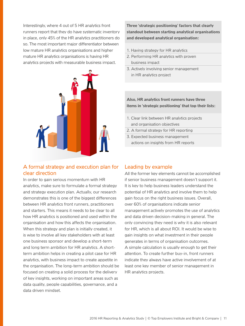Interestingly, where 4 out of 5 HR analytics front runners report that they do have systematic inventory in place, only 45% of the HR analytics practitioners do so. The most important major differentiator between low mature HR analytics organisations and higher mature HR analytics organisations is having HR analytics projects with measurable business impact.



### A formal strategy and execution plan for clear direction

In order to gain serious momentum with HR analytics, make sure to formulate a formal strategy and strategy execution plan. Actually, our research demonstrates this is one of the biggest differences between HR analytics front runners, practitioners and starters. This means it needs to be clear to all how HR analytics is positioned and used within the organisation and how this affects the organisation. When this strategy and plan is initially created, it is wise to involve all key stakeholders with at least one business sponsor and develop a short-term and long term ambition for HR analytics. A shortterm ambition helps in creating a pilot case for HR analytics, with business impact to create appetite in the organisation. The long-term ambition should be focused on creating a solid process for the delivery of key insights, working on important areas such as data quality, people capabilities, governance, and a data driven mindset.

**Three 'strategic positioning' factors that clearly standout between starting analytical organisations and developed analytical organisation:**

- 1. Having strategy for HR analytics
- 2. Performing HR analytics with proven business impact
- 3. Actively involving senior management in HR analytics project

#### **Also, HR analytics front runners have three items in 'strategic positioning' that top their lists:**

- 1. Clear link between HR analytics projects and organisation objectives
- 2. A formal strategy for HR reporting
- 3. Expected business management actions on insights from HR reports

#### Leading by example

All the former key elements cannot be accomplished if senior business management doesn't support it. It is key to help business leaders understand the potential of HR analytics and involve them to help gain focus on the right business issues. Overall, over 60% of organisations indicate senior management actively promotes the use of analytics and data driven decision-making in general. The only convincing they need is why it is also relevant for HR, which is all about ROI. It would be wise to gain insights on what investment in their people generates in terms of organisation outcomes. A simple calculation is usually enough to get their attention. To create further buy-in, front runners indicate they always have active involvement of at least one key member of senior management in HR analytics projects.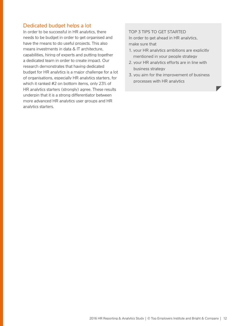#### Dedicated budget helps a lot

In order to be successful in HR analytics, there needs to be budget in order to get organised and have the means to do useful projects. This also means investments in data & IT architecture, capabilities, hiring of experts and putting together a dedicated team in order to create impact. Our research demonstrates that having dedicated budget for HR analytics is a major challenge for a lot of organisations, especially HR analytics starters, for which it ranked #2 on bottom items, only 23% of HR analytics starters (strongly) agree. These results underpin that it is a strong differentiator between more advanced HR analytics user groups and HR analytics starters.

#### TOP 3 TIPS TO GET STARTED

In order to get ahead in HR analytics, make sure that

- 1. your HR analytics ambitions are explicitly mentioned in your people strategy
- 2. your HR analytics efforts are in line with business strategy
- 3. you aim for the improvement of business processes with HR analytics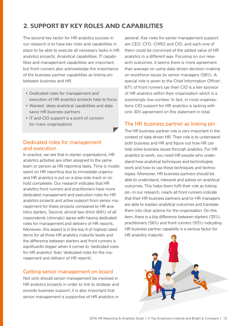## **2. SUPPORT BY KEY ROLES AND CAPABILITIES**

The second key factor for HR analytics success in our research is to have key roles and capabilities in place to be able to execute all necessary tasks in HR analytics projects. Analytical capabilities, IT capabilities and management capabilities are important, but front runners also acknowledge the importance of the business partner capabilities as linking pin between business and HR.

- Dedicated roles for management and execution of HR analytics projects help to focus
- Wanted: deep analytical capabilities and data savvy HR business partners
- IT and CIO support is a point of concern for many organisations

#### Dedicated roles for management and execution

In practice, we see that in starter organisations, HR analytics activities are often assigned to the same team or person as HR reporting tasks. Time is mostly spent on HR reporting due to immediate urgency and HR analytics is put on a slow side-track or on hold completely. Our research indicates that HR analytics front runners and practitioners have more dedicated management and execution roles for HR analytics projects and active support from senior management for these projects compared to HR analytics starters. Second, almost two-third (64%) of all respondents (strongly) agree with having dedicated roles for management and delivery of HR reports. Moreover, this aspect is in the top 4 of highest rated items for all three HR analytics maturity levels and the difference between starters and front runners is significantly bigger when it comes to 'dedicated roles for HR analytics' than 'dedicated roles for the management and delivery of HR reports'.

#### Getting senior management on board

Not only should senior management be involved in HR analytics projects in order to link to strategy and provide business support, it is also important that senior management is supportive of HR analytics in

general. Key roles for senior management support are CEO, CFO, CHRO and CIO, and each one of them could be convinced of the added value of HR analytics in a different way. Focusing on our research outcomes, it seems there is more agreement than average on using data-driven decision-making on workforce issues by senior managers (58%). A special role is given to the Chief Information Officer: 67% of front runners say their CIO is a key sponsor of HR analytics within their organisation which is a surprisingly low number. In fact, in most organisations CIO support for HR analytics is lacking with only 30% agreement on this statement in total.

### The HR business partner as linking pin

The HR business partner role is very important in the context of data driven HR. Their role is to understand both business and HR and figure out how HR can help solve business issues through analytics. For HR analytics to work, you need HR people who understand how analytical techniques and technologies work and how to use these techniques and technologies. Moreover, HR business partners should be able to understand, interpret and advise on analytical outcomes. This helps them fulfil their role as linking pin. In our research, nearly all front runners indicate that their HR business partners and/or HR managers are able to explain analytical outcomes and translate them into clear actions for the organisation. On this item, there is a big difference between starters (35%), practitioners (56%) and front runners (93%) indicating HR business partner capability is a serious factor for HR analytics maturity.

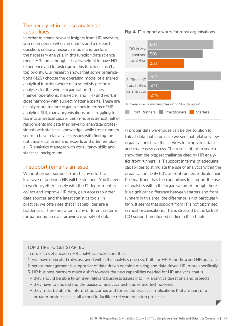#### The luxury of in-house analytical capabilities

In order to create relevant insights from HR analytics, you need people who can understand a research question, create a research model and perform the necessary analysis. In this function data science meets HR and although it is very helpful to have HR experience and knowledge in this function, it isn't a top priority. Our research shows that some organisations (42%) choose the operating model of a shared analytical function where data scientists perform analyses for the whole organisation (business, finance, operations, marketing and HR) and work in close harmony with subject matter experts. These are usually more mature organisations in terms of HR analytics. Still, many organisations are struggling to tap into analytical capabilities in-house; almost half of respondents indicate they have no analytical professionals with statistical knowledge, while front runners seem to have relatively less issues with finding the right analytical talent and experts and often employ a HR analytics manager with consultancy skills and statistical background.

#### IT support remains an issue

Without proper support from IT any effort to leverage data driven HR will be strained. You'll need to work together closely with the IT department to collect and improve HR data, gain access to other data sources and the latest statistics tools. In practice, we often see that IT capabilities are a bottleneck. There are often many different systems for gathering an ever-growing diversity of data.

#### **Front Runners Practitioners Starters** CIO is key sponsor analytics 60% 50% 33% 67% 42% 21% Sufficient IT capabilities for analytics % of respondents answering 'Agree' or 'Strongly agree'

A proper data warehouse can be the solution to link all data, but in practice we see that relatively few organisations have the services to simply link data and create easy access. The results of this research show that the biggest challenge cited by HR analytics front runners, is IT support in terms of adequate capabilities to stimulate the use of analytics within the organisation. Only 60% of front runners indicate their IT department has the capabilities to support the use of analytics within the organisation. Although there is a significant difference between starters and front runners in this area, the difference is not particularly high. It seems that support from IT is not optimised in most organisations. This is stressed by the lack of CIO support mentioned earlier in this chapter.

#### TOP 3 TIPS TO GET STARTED

In order to get ahead in HR analytics, make sure that

- 1. you have dedicated roles assigned within the analytics process, both for HR Reporting and HR analytics
- 2. senior management is supportive of data driven decision making and data driven HR, more specifically
- 3. HR business partners make a shift towards the new capabilities needed for HR analytics, that is:
	- they should be able to unravel relevant business issues into HR analytics questions and projects
	- they have to understand the basics of analytics techniques and technologies
	- they must be able to interpret outcomes and formulate practical implications that are part of a broader business case, all aimed to facilitate relevant decision processes

**Fig. 4** IT support a worry for most organisations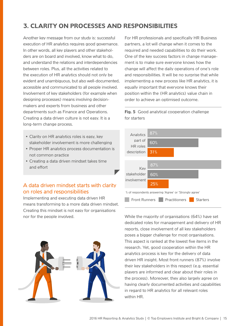## **3. CLARITY ON PROCESSES AND RESPONSIBILITIES**

Another key message from our study is: successful execution of HR analytics requires good governance. In other words, all key players and other stakeholders are on board and involved, know what to do, and understand the relations and interdependencies between roles. Plus, all the activities related to the execution of HR analytics should not only be evident and unambiguous, but also well-documented, accessible and communicated to all people involved. Involvement of key stakeholders (for example when designing processes) means involving decisionmakers and experts from business and other departments such as Finance and Operations. Creating a data driven culture is not easy. It is a long-term change process.

- Clarity on HR analytics roles is easy, key stakeholder involvement is more challenging
- Proper HR analytics process documentation is not common practice
- Creating a data driven mindset takes time and effort

#### A data driven mindset starts with clarity on roles and responsibilities

Implementing and executing data driven HR means transforming to a more data driven mindset. Creating this mindset is not easy for organisations nor for the people involved.



For HR professionals and specifically HR Business partners, a lot will change when it comes to the required and needed capabilities to do their work. One of the key success factors in change management is to make sure everyone knows how the change will affect the daily operations of one's role and responsibilities. It will be no surprise that while implementing a new process like HR analytics, it is equally important that everyone knows their position within the (HR analytics) value chain in order to achieve an optimised outcome.

#### **Fig. 5** Good analytical cooperation challenge for starters



While the majority of organisations (64%) have set dedicated roles for management and delivery of HR reports, close involvement of all key stakeholders poses a bigger challenge for most organisations. This aspect is ranked at the lowest five items in the research. Yet, good cooperation within the HR analytics process is key for the delivery of data driven HR insight. Most front runners (87%) involve their key stakeholders in this respect (e.g. essential players are informed and clear about their roles in the process). Moreover, they also largely agree on having clearly documented activities and capabilities in regard to HR analytics for all relevant roles within HR.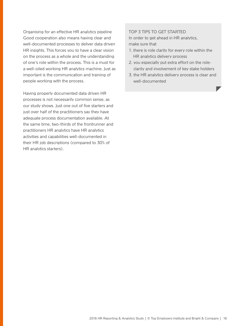Organising for an effective HR analytics pipeline Good cooperation also means having clear and well-documented processes to deliver data driven HR insights. This forces you to have a clear vision on the process as a whole and the understanding of one's role within the process. This is a must for a well-oiled working HR analytics machine. Just as important is the communication and training of people working with the process.

Having properly documented data driven HR processes is not necessarily common sense, as our study shows. Just one out of five starters and just over half of the practitioners say they have adequate process documentation available. At the same time, two-thirds of the frontrunner and practitioners HR analytics have HR analytics activities and capabilities well-documented in their HR job descriptions (compared to 30% of HR analytics starters).

#### TOP 3 TIPS TO GET STARTED

In order to get ahead in HR analytics, make sure that

- 1. there is role clarity for every role within the HR analytics delivery process
- 2. you especially put extra effort on the roleclarity and involvement of key stake holders
- 3. the HR analytics delivery process is clear and well-documented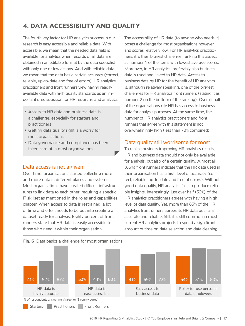## **4. DATA ACCESSIBILITY AND QUALITY**

The fourth key factor for HR analytics success in our research is easy accessible and reliable data. With accessible, we mean that the needed data field is available for analytics when records of all data are obtained in an editable format by the data specialist with only one or few actions. And with reliable data we mean that the data has a certain accuracy (correct, reliable, up-to-date and free of errors). HR analytics practitioners and front runners view having readily available data with high quality standards as an important predisposition for HR reporting and analytics.

- Access to HR data and business data is a challenge, especially for starters and practitioners
- Getting data quality right is a worry for most organisations
- Data governance and compliance has been taken care of in most organisations

#### Data access is not a given

Over time, organisations started collecting more and more data in different places and systems. Most organisations have created difficult infrastructures to link data to each other, requiring a specific IT skillset as mentioned in the roles and capabilities chapter. When access to data is restrained, a lot of time and effort needs to be put into creating a dataset ready for analysis. Eighty percent of front runners state that HR data is easily accessible to those who need it within their organisation.

The accessibility of HR data (to anyone who needs it) poses a challenge for most organisations however, and scores relatively low. For HR analytics practitioners, it is their biggest challenge, ranking this aspect as number 1 of the items with lowest average scores. Moreover, in HR analytics, preferably also business data is used and linked to HR data. Access to business data by HR for the benefit of HR analytics is, although relatively speaking, one of the biggest challenges for HR analytics front runners (stating it as number 2 on the bottom of the ranking). Overall, half of the organisations cite HR has access to business data for analysis purposes. At the same time, the number of HR analytics practitioners and front runners that agree with this statement is not overwhelmingly high (less than 70% combined).

#### Data quality still worrisome for most

To realise business improving HR analytics results, HR and business data should not only be available for analysis, but also of a certain quality. Almost all (85%) front runners indicate that the HR data used in their organisation has a high level of accuracy (correct, reliable, up-to-date and free of errors). Without good data quality, HR analytics fails to produce reliable insights. Interestingly, just over half (52%) of the HR analytics practitioners agrees with having a high level of data quality. Yet, more than 85% of the HR analytics frontrunners agrees its HR data quality is accurate and reliable. Still, it is still common in most current HR analytics projects to spend a significant amount of time on data selection and data cleaning.



v

#### **Fig. 6** Data basics a challenge for most organisations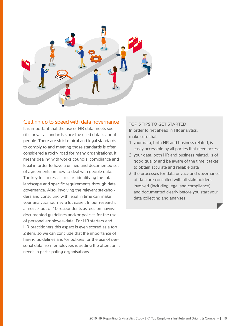

#### Getting up to speed with data governance

It is important that the use of HR data meets specific privacy standards since the used data is about people. There are strict ethical and legal standards to comply to and meeting those standards is often considered a rocky road for many organisations. It means dealing with works councils, compliance and legal in order to have a unified and documented set of agreements on how to deal with people data. The key to success is to start identifying the total landscape and specific requirements through data governance. Also, involving the relevant stakeholders and consulting with legal in time can make your analytics journey a lot easier. In our research, almost 7 out of 10 respondents agrees on having documented guidelines and/or policies for the use of personal employee-data. For HR starters and HR practitioners this aspect is even scored as a top 2 item, so we can conclude that the importance of having guidelines and/or policies for the use of personal data from employees is getting the attention it needs in participating organisations.

#### TOP 3 TIPS TO GET STARTED

In order to get ahead in HR analytics, make sure that

- 1. your data, both HR and business related, is easily accessible by all parties that need access
- 2. your data, both HR and business related, is of good quality and be aware of the time it takes to obtain accurate and reliable data
- 3. the processes for data privacy and governance of data are consulted with all stakeholders involved (including legal and compliance) and documented clearly before you start your data collecting and analyses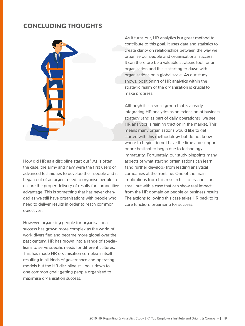## **CONCLUDING THOUGHTS**



How did HR as a discipline start out? As is often the case, the army and navy were the first users of advanced techniques to develop their people and it began out of an urgent need to organise people to ensure the proper delivery of results for competitive advantage. This is something that has never changed as we still have organisations with people who need to deliver results in order to reach common objectives.

However, organising people for organisational success has grown more complex as the world of work diversified and became more global over the past century. HR has grown into a range of specialisms to serve specific needs for different cultures. This has made HR organisation complex in itself, resulting in all kinds of governance and operating models but the HR discipline still boils down to one common goal: getting people organised to maximise organisation success.

As it turns out, HR analytics is a great method to contribute to this goal. It uses data and statistics to create clarity on relationships between the way we organise our people and organisational success. It can therefore be a valuable strategic tool for an organisation and this is starting to dawn with organisations on a global scale. As our study shows, positioning of HR analytics within the strategic realm of the organisation is crucial to make progress.

Although it is a small group that is already integrating HR analytics as an extension of business strategy (and as part of daily operations), we see HR analytics is gaining traction in the market. This means many organisations would like to get started with this methodology but do not know where to begin, do not have the time and support or are hesitant to begin due to technology immaturity. Fortunately, our study pinpoints many aspects of what starting organisations can learn (and further develop) from leading analytical companies at the frontline. One of the main implications from this research is to try and start small but with a case that can show real impact from the HR domain on people or business results. The actions following this case takes HR back to its core function: organising for success.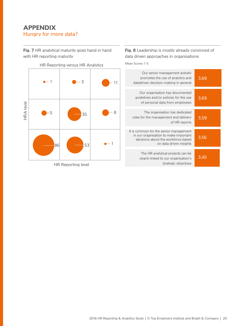## **APPENDIX**  Hungry for more data?

**Fig. 7** HR analytical maturity goes hand in hand with HR reporting maturity



HR Reporting versus HR Analytics

Mean Scores 1-5

Our organisation has documented guidelines and/or policies for the use of personal data from employees The organisation has dedicated roles for the management and delivery of HR reports It is common for the senior management in our organisation to make important decisions about the workforce based on data driven insights The HR analytical projects can be clearly linked to our organisation's strategic objectives 3,69 3,59 3,56 3,45

#### HR Reporting level

#### promotes the use of analytics and datadriven decision-making in general 3,69

Our senior management actively

**Fig. 8** Leadership is mostly already convinced of

data driven approaches in organisations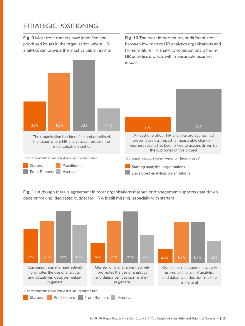## STRATEGIC POSITIONING

**Fig. 9** Most front runners have identified and prioritised issues in the organisation where HR analytics can provide the most valuable insights **Fig. 10** The most important major differentiator between low mature HR analytics organisations and higher mature HR analytics organisations is having HR analytics projects with measurable business impact



**Fig. 11** Although there is agreement in most organisations that senior management supports data driven decisionmaking, dedicated budget for HRA is still missing, especially with starters

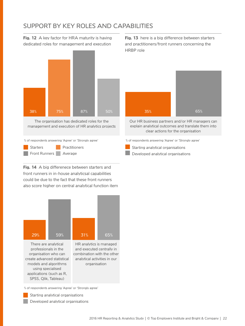## SUPPORT BY KEY ROLES AND CAPABILITIES

**Fig. 12** A key factor for HRA maturity is having dedicated roles for management and execution



% of respondents answering 'Agree' or 'Strongly agree'  $\%$  of respondents answering 'Agree' or 'Strongly agree'

Starters **Practitioners** Front Runners **Average** 

**Fig. 14** A big differenece between starters and front runners in in-house analyticsal capabilities could be due to the fact that these front runners also score higher on central analytical function item



There are analytical professionals in the organisation who can create advanced statistical models and algorithms using specialised applications (such as R, SPSS, Qlik, Tableau)

HR analytics is managed and executed centrally in combination with the other analytical activities in our organisation

% of respondents answering 'Agree' or 'Strongly agree'

Starting analytical organisations

Developed analytical organisations

**Fig. 13** here is a big difference between starters and practitioners/front runners concerning the HRBP role



Our HR business partners and/or HR managers can explain analytical outcomes and translate them into clear actions for the organisation

Starting analytical organisations

Developed analytical organisations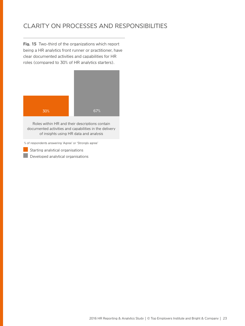## CLARITY ON PROCESSES AND RESPONSIBILITIES

**Fig. 15** Two-third of the organizations which report being a HR analytics front runner or practitioner, have clear documented activities and capabilities for HR roles (compared to 30% of HR analytics starters).



Roles within HR and their descriptions contain documented activities and capabilities in the delivery of insights using HR data and analysis

% of respondents answering 'Agree' or 'Strongly agree'

Starting analytical organisations

Developed analytical organisations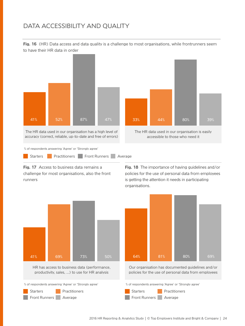## DATA ACCESSIBILITY AND QUALITY

**Fig. 16** (HR) Data access and data quality is a challenge to most organisations, while frontrunners seem to have their HR data in order



**Fig. 17** Access to business data remains a challenge for most organisations, also the front runners

**Fig. 18** The importance of having guidelines and/or policies for the use of personal data from employees is getting the attention it needs in participating organisations.





Our organisation has documented guidelines and/or policies for the use of personal data from employees

Starters **Practitioners** Front Runners **Average**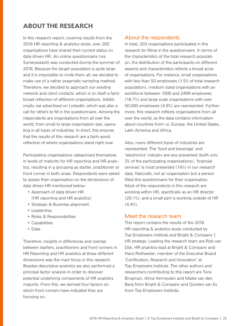## **ABOUT THE RESEARCH**

In this research report, covering results from the 2016 HR reporting & analytics study, over 200 organisations have shared their current status on data driven HR. An online questionnaire (via Surveywizard) was conducted during the summer of 2016. Because the target population is quite large and it is impossible to invite them all, we decided to make use of a rather pragmatic sampling method. Therefore, we decided to approach our existing network and client contacts, which is on itself a fairly broad reflection of different organisations. Additionally, we advertised on LinkedIn, which was also a call for others to fill in the questionnaire. Among the respondents are organisations from all over the world, from small to large organisation size, operating in all types of industries. In short, this ensures that the results of this research are a fairly good reflection of where organisations stand right now.

Participating organisations categorised themselves in levels of maturity for HR reporting and HR analytics, resulting in a grouping as starter, practitioner or front runner in both areas. Respondents were asked to assess their organisation on the dimensions of data driven HR mentioned below:

- Approach of data driven HR (HR reporting and HR analytics)
- Strategic & Business alignment
- Leadership
- Roles & Responsibilities
- Capabilities
- Data

Therefore, insights in differences and overlap between starters, practitioners and front runners in HR Reporting and HR analytics at these different dimensions was the main focus in this research. Besides descriptive analytics we also performed a principal factor analysis in order to discover potential underlying components of HR analytics maturity. From this, we derived four factors on which front runners have indicated they are focusing on.

#### About the respondents

In total, 203 organisations participated in this research by filling in the questionnaire. In terms of the characteristics of the total research population, the distribution of the participants on different aspects and characteristics reflects a broad array of organisations. For instance, small organisations with less than 50 employees (1.5% of total research population), medium sized organisations with an workforce between 1000 and 2499 employees (18.7%) and large scale organisations with over 50.000 employees (4.9%) are represented. Furthermore, this research reflects organisations from all over the world, as the data contains information about countries from i.e. Europe, the United States, Latin America and Africa.

Also, many different types of industries are represented. The 'food and beverage' and 'electronics' industry are less presented (both only 3% of the participating organisations), 'financial services' is most presented (14%) in our research data. Naturally, not an organisation but a person filled this questionnaire for their organisation. Most of the respondents in this research are working within HR, specifically as an HR director (29.1%), and a small part is working outside of HR  $(4.4\%)$ .

#### Meet the research team

This report contains the results of the 2016 HR reporting & analytics study conducted by Top Employers Institute and Bright & Company | HR strategy. Leading the research team are Rob van Dijk, HR analytics lead at Bright & Company and Hans Rothweiler, member of the Executive Board 'Certification, Research and Innovation' at Top Employers Institute. The other authors and researchers contributing to this report are Tony Brugman, Alma Vermeulen and Maike van den Berg from Bright & Company and Quinten van Es from Top Employers Institute.